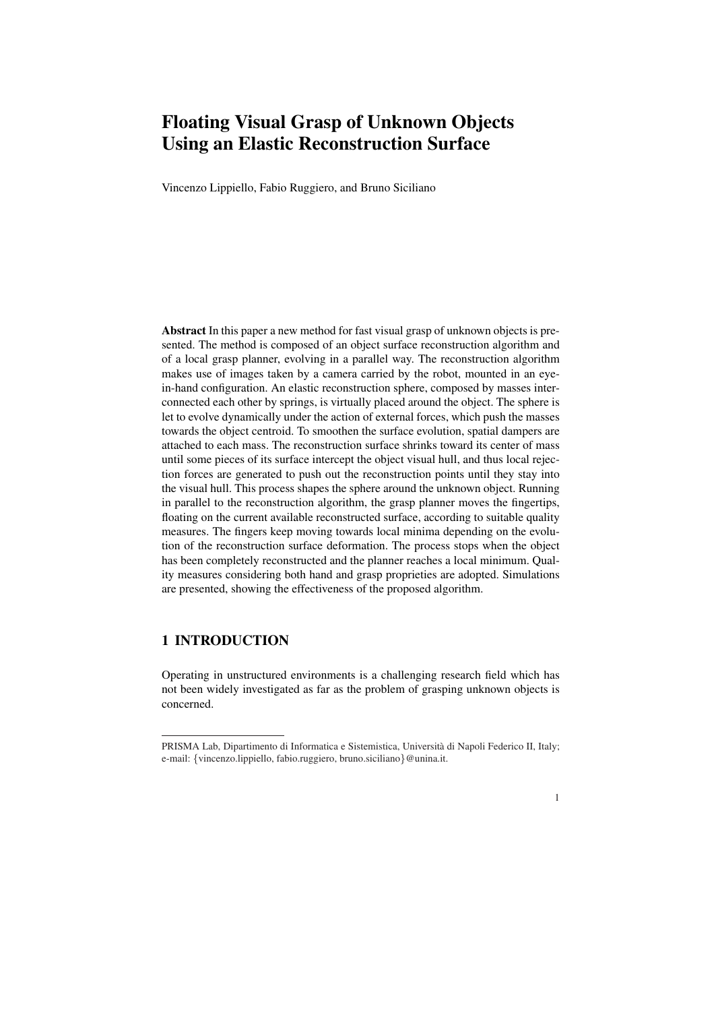# Floating Visual Grasp of Unknown Objects Using an Elastic Reconstruction Surface

Vincenzo Lippiello, Fabio Ruggiero, and Bruno Siciliano

Abstract In this paper a new method for fast visual grasp of unknown objects is presented. The method is composed of an object surface reconstruction algorithm and of a local grasp planner, evolving in a parallel way. The reconstruction algorithm makes use of images taken by a camera carried by the robot, mounted in an eyein-hand configuration. An elastic reconstruction sphere, composed by masses interconnected each other by springs, is virtually placed around the object. The sphere is let to evolve dynamically under the action of external forces, which push the masses towards the object centroid. To smoothen the surface evolution, spatial dampers are attached to each mass. The reconstruction surface shrinks toward its center of mass until some pieces of its surface intercept the object visual hull, and thus local rejection forces are generated to push out the reconstruction points until they stay into the visual hull. This process shapes the sphere around the unknown object. Running in parallel to the reconstruction algorithm, the grasp planner moves the fingertips, floating on the current available reconstructed surface, according to suitable quality measures. The fingers keep moving towards local minima depending on the evolution of the reconstruction surface deformation. The process stops when the object has been completely reconstructed and the planner reaches a local minimum. Quality measures considering both hand and grasp proprieties are adopted. Simulations are presented, showing the effectiveness of the proposed algorithm.

## 1 INTRODUCTION

Operating in unstructured environments is a challenging research field which has not been widely investigated as far as the problem of grasping unknown objects is concerned.

PRISMA Lab, Dipartimento di Informatica e Sistemistica, Universita di Napoli Federico II, Italy; ` e-mail: {vincenzo.lippiello, fabio.ruggiero, bruno.siciliano}@unina.it.

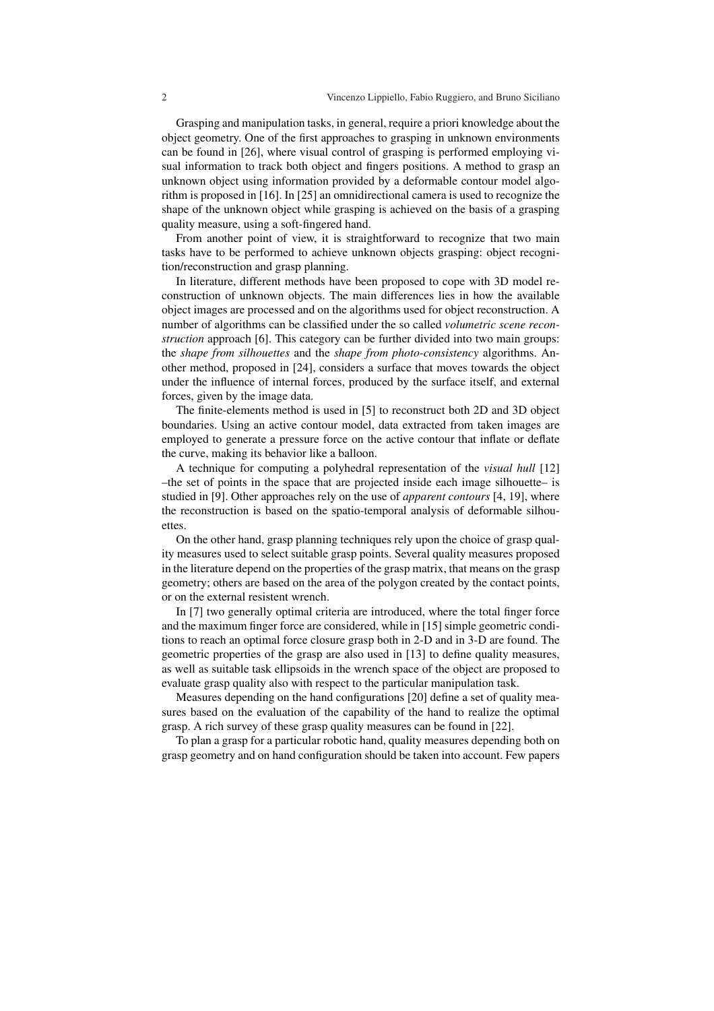Grasping and manipulation tasks, in general, require a priori knowledge about the object geometry. One of the first approaches to grasping in unknown environments can be found in [26], where visual control of grasping is performed employing visual information to track both object and fingers positions. A method to grasp an unknown object using information provided by a deformable contour model algorithm is proposed in [16]. In [25] an omnidirectional camera is used to recognize the shape of the unknown object while grasping is achieved on the basis of a grasping quality measure, using a soft-fingered hand.

From another point of view, it is straightforward to recognize that two main tasks have to be performed to achieve unknown objects grasping: object recognition/reconstruction and grasp planning.

In literature, different methods have been proposed to cope with 3D model reconstruction of unknown objects. The main differences lies in how the available object images are processed and on the algorithms used for object reconstruction. A number of algorithms can be classified under the so called *volumetric scene reconstruction* approach [6]. This category can be further divided into two main groups: the *shape from silhouettes* and the *shape from photo-consistency* algorithms. Another method, proposed in [24], considers a surface that moves towards the object under the influence of internal forces, produced by the surface itself, and external forces, given by the image data.

The finite-elements method is used in [5] to reconstruct both 2D and 3D object boundaries. Using an active contour model, data extracted from taken images are employed to generate a pressure force on the active contour that inflate or deflate the curve, making its behavior like a balloon.

A technique for computing a polyhedral representation of the *visual hull* [12] –the set of points in the space that are projected inside each image silhouette– is studied in [9]. Other approaches rely on the use of *apparent contours* [4, 19], where the reconstruction is based on the spatio-temporal analysis of deformable silhouettes.

On the other hand, grasp planning techniques rely upon the choice of grasp quality measures used to select suitable grasp points. Several quality measures proposed in the literature depend on the properties of the grasp matrix, that means on the grasp geometry; others are based on the area of the polygon created by the contact points, or on the external resistent wrench.

In [7] two generally optimal criteria are introduced, where the total finger force and the maximum finger force are considered, while in [15] simple geometric conditions to reach an optimal force closure grasp both in 2-D and in 3-D are found. The geometric properties of the grasp are also used in [13] to define quality measures, as well as suitable task ellipsoids in the wrench space of the object are proposed to evaluate grasp quality also with respect to the particular manipulation task.

Measures depending on the hand configurations [20] define a set of quality measures based on the evaluation of the capability of the hand to realize the optimal grasp. A rich survey of these grasp quality measures can be found in [22].

To plan a grasp for a particular robotic hand, quality measures depending both on grasp geometry and on hand configuration should be taken into account. Few papers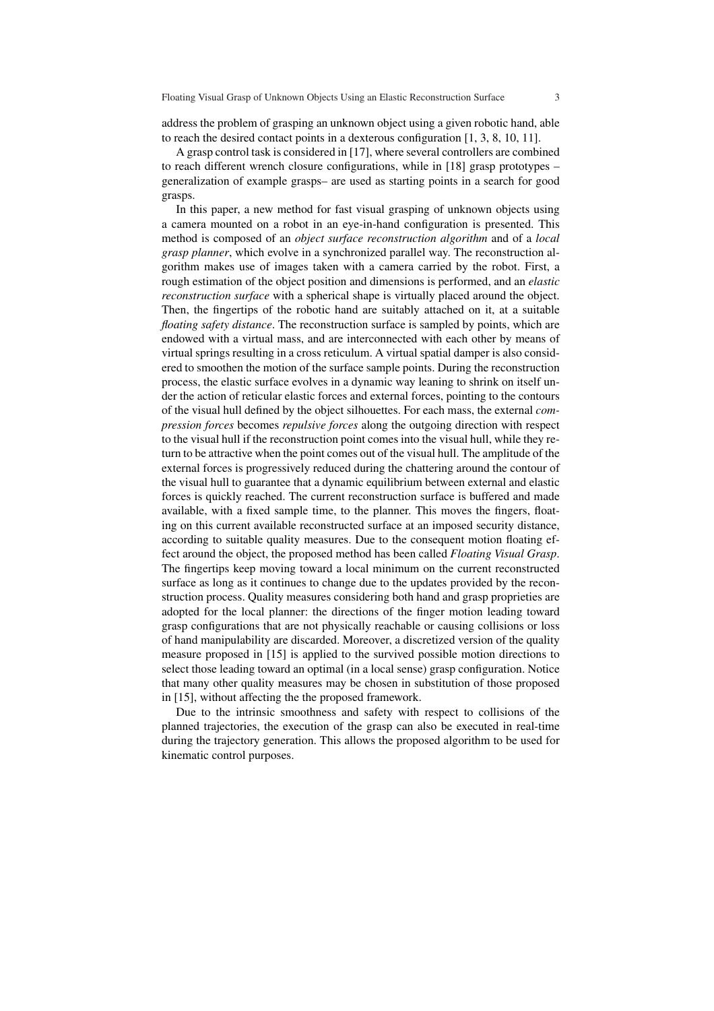address the problem of grasping an unknown object using a given robotic hand, able to reach the desired contact points in a dexterous configuration [1, 3, 8, 10, 11].

A grasp control task is considered in [17], where several controllers are combined to reach different wrench closure configurations, while in [18] grasp prototypes – generalization of example grasps– are used as starting points in a search for good grasps.

In this paper, a new method for fast visual grasping of unknown objects using a camera mounted on a robot in an eye-in-hand configuration is presented. This method is composed of an *object surface reconstruction algorithm* and of a *local grasp planner*, which evolve in a synchronized parallel way. The reconstruction algorithm makes use of images taken with a camera carried by the robot. First, a rough estimation of the object position and dimensions is performed, and an *elastic reconstruction surface* with a spherical shape is virtually placed around the object. Then, the fingertips of the robotic hand are suitably attached on it, at a suitable *floating safety distance*. The reconstruction surface is sampled by points, which are endowed with a virtual mass, and are interconnected with each other by means of virtual springs resulting in a cross reticulum. A virtual spatial damper is also considered to smoothen the motion of the surface sample points. During the reconstruction process, the elastic surface evolves in a dynamic way leaning to shrink on itself under the action of reticular elastic forces and external forces, pointing to the contours of the visual hull defined by the object silhouettes. For each mass, the external *compression forces* becomes *repulsive forces* along the outgoing direction with respect to the visual hull if the reconstruction point comes into the visual hull, while they return to be attractive when the point comes out of the visual hull. The amplitude of the external forces is progressively reduced during the chattering around the contour of the visual hull to guarantee that a dynamic equilibrium between external and elastic forces is quickly reached. The current reconstruction surface is buffered and made available, with a fixed sample time, to the planner. This moves the fingers, floating on this current available reconstructed surface at an imposed security distance, according to suitable quality measures. Due to the consequent motion floating effect around the object, the proposed method has been called *Floating Visual Grasp*. The fingertips keep moving toward a local minimum on the current reconstructed surface as long as it continues to change due to the updates provided by the reconstruction process. Quality measures considering both hand and grasp proprieties are adopted for the local planner: the directions of the finger motion leading toward grasp configurations that are not physically reachable or causing collisions or loss of hand manipulability are discarded. Moreover, a discretized version of the quality measure proposed in [15] is applied to the survived possible motion directions to select those leading toward an optimal (in a local sense) grasp configuration. Notice that many other quality measures may be chosen in substitution of those proposed in [15], without affecting the the proposed framework.

Due to the intrinsic smoothness and safety with respect to collisions of the planned trajectories, the execution of the grasp can also be executed in real-time during the trajectory generation. This allows the proposed algorithm to be used for kinematic control purposes.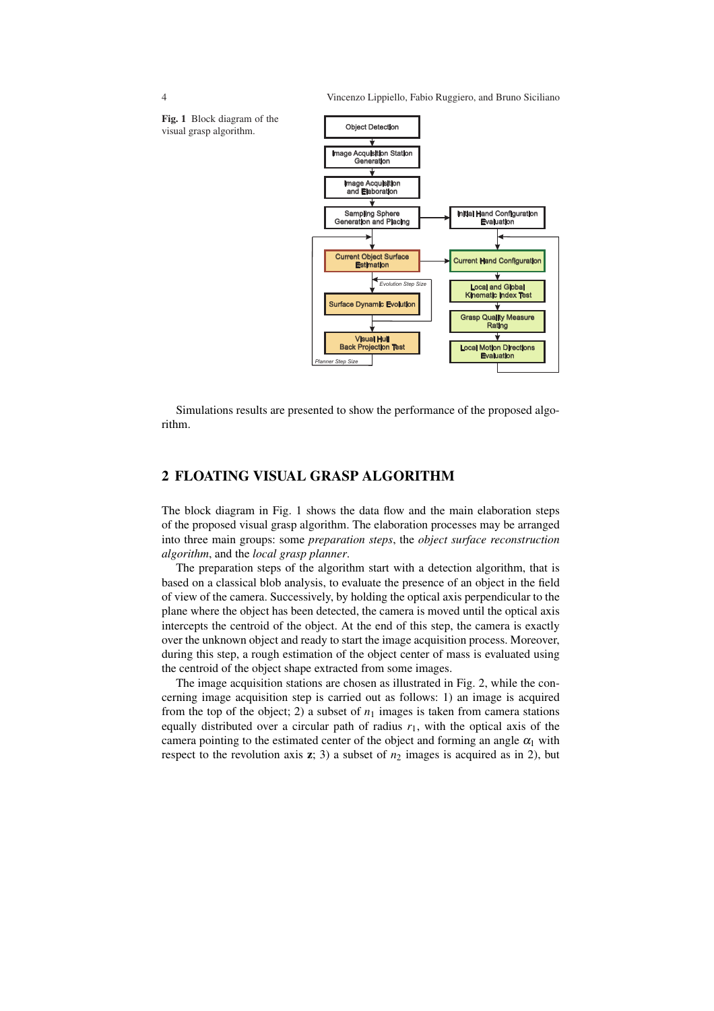Fig. 1 Block diagram of the visual grasp algorithm.



Simulations results are presented to show the performance of the proposed algorithm.

# 2 FLOATING VISUAL GRASP ALGORITHM

The block diagram in Fig. 1 shows the data flow and the main elaboration steps of the proposed visual grasp algorithm. The elaboration processes may be arranged into three main groups: some *preparation steps*, the *object surface reconstruction algorithm*, and the *local grasp planner*.

The preparation steps of the algorithm start with a detection algorithm, that is based on a classical blob analysis, to evaluate the presence of an object in the field of view of the camera. Successively, by holding the optical axis perpendicular to the plane where the object has been detected, the camera is moved until the optical axis intercepts the centroid of the object. At the end of this step, the camera is exactly over the unknown object and ready to start the image acquisition process. Moreover, during this step, a rough estimation of the object center of mass is evaluated using the centroid of the object shape extracted from some images.

The image acquisition stations are chosen as illustrated in Fig. 2, while the concerning image acquisition step is carried out as follows: 1) an image is acquired from the top of the object; 2) a subset of  $n_1$  images is taken from camera stations equally distributed over a circular path of radius  $r_1$ , with the optical axis of the camera pointing to the estimated center of the object and forming an angle  $\alpha_1$  with respect to the revolution axis  $z$ ; 3) a subset of  $n_2$  images is acquired as in 2), but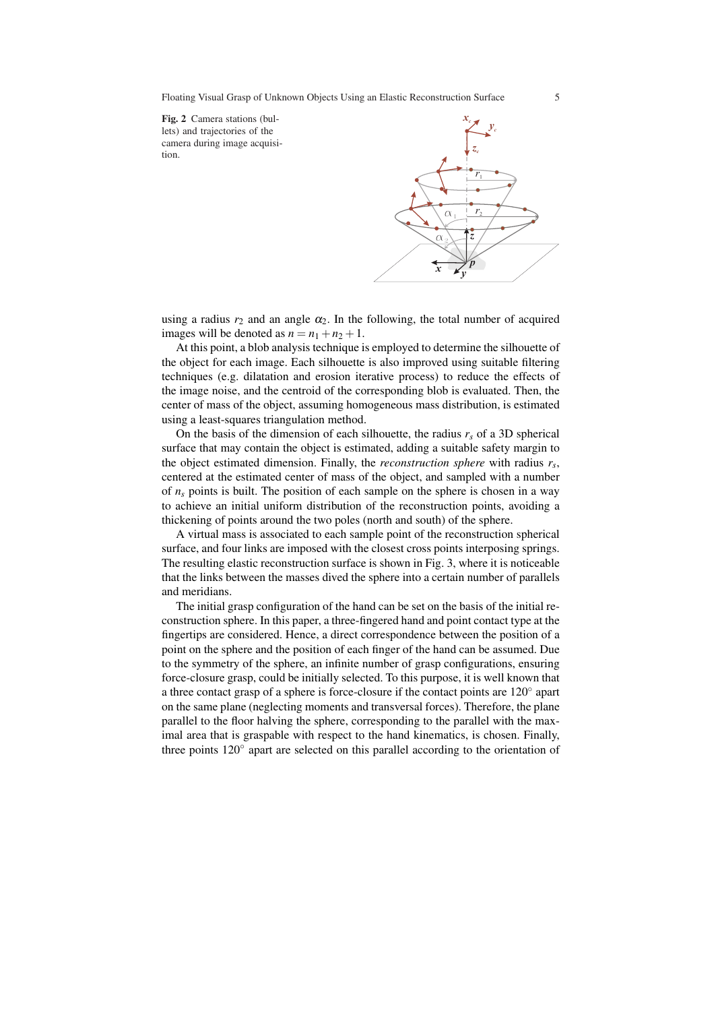Floating Visual Grasp of Unknown Objects Using an Elastic Reconstruction Surface 5

Fig. 2 Camera stations (bullets) and trajectories of the camera during image acquisition.



using a radius  $r_2$  and an angle  $\alpha_2$ . In the following, the total number of acquired images will be denoted as  $n = n_1 + n_2 + 1$ .

At this point, a blob analysis technique is employed to determine the silhouette of the object for each image. Each silhouette is also improved using suitable filtering techniques (e.g. dilatation and erosion iterative process) to reduce the effects of the image noise, and the centroid of the corresponding blob is evaluated. Then, the center of mass of the object, assuming homogeneous mass distribution, is estimated using a least-squares triangulation method.

On the basis of the dimension of each silhouette, the radius  $r<sub>s</sub>$  of a 3D spherical surface that may contain the object is estimated, adding a suitable safety margin to the object estimated dimension. Finally, the *reconstruction sphere* with radius *r<sup>s</sup>* , centered at the estimated center of mass of the object, and sampled with a number of  $n<sub>s</sub>$  points is built. The position of each sample on the sphere is chosen in a way to achieve an initial uniform distribution of the reconstruction points, avoiding a thickening of points around the two poles (north and south) of the sphere.

A virtual mass is associated to each sample point of the reconstruction spherical surface, and four links are imposed with the closest cross points interposing springs. The resulting elastic reconstruction surface is shown in Fig. 3, where it is noticeable that the links between the masses dived the sphere into a certain number of parallels and meridians.

The initial grasp configuration of the hand can be set on the basis of the initial reconstruction sphere. In this paper, a three-fingered hand and point contact type at the fingertips are considered. Hence, a direct correspondence between the position of a point on the sphere and the position of each finger of the hand can be assumed. Due to the symmetry of the sphere, an infinite number of grasp configurations, ensuring force-closure grasp, could be initially selected. To this purpose, it is well known that a three contact grasp of a sphere is force-closure if the contact points are 120° apart on the same plane (neglecting moments and transversal forces). Therefore, the plane parallel to the floor halving the sphere, corresponding to the parallel with the maximal area that is graspable with respect to the hand kinematics, is chosen. Finally, three points 120° apart are selected on this parallel according to the orientation of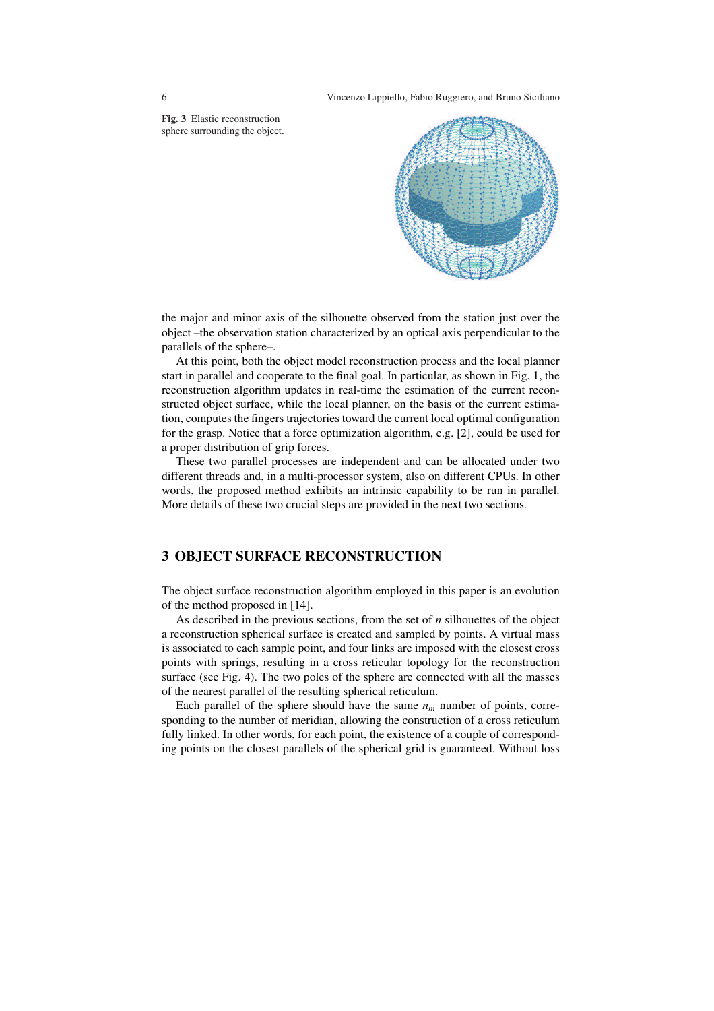Fig. 3 Elastic reconstruction sphere surrounding the object.



the major and minor axis of the silhouette observed from the station just over the object –the observation station characterized by an optical axis perpendicular to the parallels of the sphere–.

At this point, both the object model reconstruction process and the local planner start in parallel and cooperate to the final goal. In particular, as shown in Fig. 1, the reconstruction algorithm updates in real-time the estimation of the current reconstructed object surface, while the local planner, on the basis of the current estimation, computes the fingers trajectories toward the current local optimal configuration for the grasp. Notice that a force optimization algorithm, e.g. [2], could be used for a proper distribution of grip forces.

These two parallel processes are independent and can be allocated under two different threads and, in a multi-processor system, also on different CPUs. In other words, the proposed method exhibits an intrinsic capability to be run in parallel. More details of these two crucial steps are provided in the next two sections.

## 3 OBJECT SURFACE RECONSTRUCTION

The object surface reconstruction algorithm employed in this paper is an evolution of the method proposed in [14].

As described in the previous sections, from the set of *n* silhouettes of the object a reconstruction spherical surface is created and sampled by points. A virtual mass is associated to each sample point, and four links are imposed with the closest cross points with springs, resulting in a cross reticular topology for the reconstruction surface (see Fig. 4). The two poles of the sphere are connected with all the masses of the nearest parallel of the resulting spherical reticulum.

Each parallel of the sphere should have the same  $n_m$  number of points, corresponding to the number of meridian, allowing the construction of a cross reticulum fully linked. In other words, for each point, the existence of a couple of corresponding points on the closest parallels of the spherical grid is guaranteed. Without loss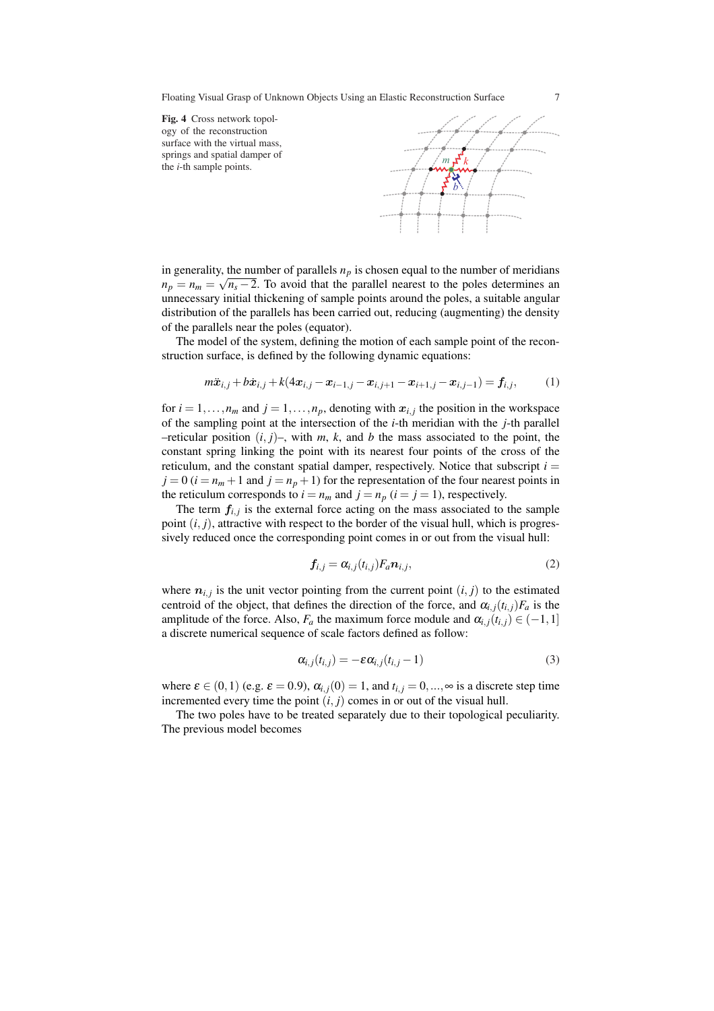Floating Visual Grasp of Unknown Objects Using an Elastic Reconstruction Surface 7



in generality, the number of parallels  $n_p$  is chosen equal to the number of meridians  $n_p = n_m = \sqrt{n_s - 2}$ . To avoid that the parallel nearest to the poles determines an unnecessary initial thickening of sample points around the poles, a suitable angular distribution of the parallels has been carried out, reducing (augmenting) the density of the parallels near the poles (equator).

The model of the system, defining the motion of each sample point of the reconstruction surface, is defined by the following dynamic equations:

$$
m\ddot{x}_{i,j} + b\dot{x}_{i,j} + k(4x_{i,j} - x_{i-1,j} - x_{i,j+1} - x_{i+1,j} - x_{i,j-1}) = f_{i,j},
$$
 (1)

for  $i = 1, \ldots, n_m$  and  $j = 1, \ldots, n_p$ , denoting with  $x_{i,j}$  the position in the workspace of the sampling point at the intersection of the *i*-th meridian with the *j*-th parallel –reticular position  $(i, j)$ –, with *m*, *k*, and *b* the mass associated to the point, the constant spring linking the point with its nearest four points of the cross of the reticulum, and the constant spatial damper, respectively. Notice that subscript  $i =$  $j = 0$  ( $i = n<sub>m</sub> + 1$  and  $j = n<sub>p</sub> + 1$ ) for the representation of the four nearest points in the reticulum corresponds to  $i = n_m$  and  $j = n_p$  ( $i = j = 1$ ), respectively.

The term  $f_{i,j}$  is the external force acting on the mass associated to the sample point  $(i, j)$ , attractive with respect to the border of the visual hull, which is progressively reduced once the corresponding point comes in or out from the visual hull:

$$
f_{i,j} = \alpha_{i,j}(t_{i,j}) F_a \mathbf{n}_{i,j}, \qquad (2)
$$

where  $n_{i,j}$  is the unit vector pointing from the current point  $(i, j)$  to the estimated centroid of the object, that defines the direction of the force, and  $\alpha_{i,j}(t_{i,j})F_a$  is the amplitude of the force. Also,  $F_a$  the maximum force module and  $\alpha_{i,j}(t_{i,j}) \in (-1,1]$ a discrete numerical sequence of scale factors defined as follow:

$$
\alpha_{i,j}(t_{i,j}) = -\varepsilon \alpha_{i,j}(t_{i,j}-1) \tag{3}
$$

where  $\varepsilon \in (0,1)$  (e.g.  $\varepsilon = 0.9$ ),  $\alpha_{i,j}(0) = 1$ , and  $t_{i,j} = 0, \dots, \infty$  is a discrete step time incremented every time the point  $(i, j)$  comes in or out of the visual hull.

The two poles have to be treated separately due to their topological peculiarity. The previous model becomes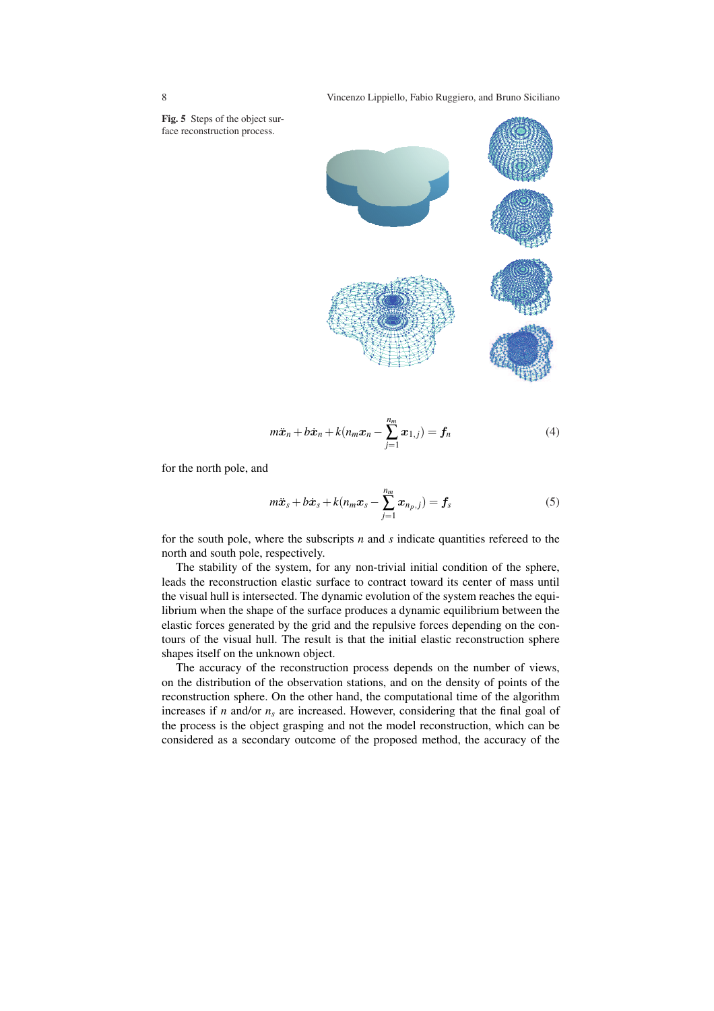Fig. 5 Steps of the object surface reconstruction process.



$$
m\ddot{x}_n + b\dot{x}_n + k(n_m x_n - \sum_{j=1}^{n_m} x_{1,j}) = f_n
$$
 (4)

for the north pole, and

$$
m\ddot{\boldsymbol{x}}_s + b\dot{\boldsymbol{x}}_s + k(n_m\boldsymbol{x}_s - \sum_{j=1}^{n_m} \boldsymbol{x}_{n_p,j}) = \boldsymbol{f}_s
$$
\n(5)

for the south pole, where the subscripts *n* and *s* indicate quantities refereed to the north and south pole, respectively.

The stability of the system, for any non-trivial initial condition of the sphere, leads the reconstruction elastic surface to contract toward its center of mass until the visual hull is intersected. The dynamic evolution of the system reaches the equilibrium when the shape of the surface produces a dynamic equilibrium between the elastic forces generated by the grid and the repulsive forces depending on the contours of the visual hull. The result is that the initial elastic reconstruction sphere shapes itself on the unknown object.

The accuracy of the reconstruction process depends on the number of views, on the distribution of the observation stations, and on the density of points of the reconstruction sphere. On the other hand, the computational time of the algorithm increases if *n* and/or  $n<sub>s</sub>$  are increased. However, considering that the final goal of the process is the object grasping and not the model reconstruction, which can be considered as a secondary outcome of the proposed method, the accuracy of the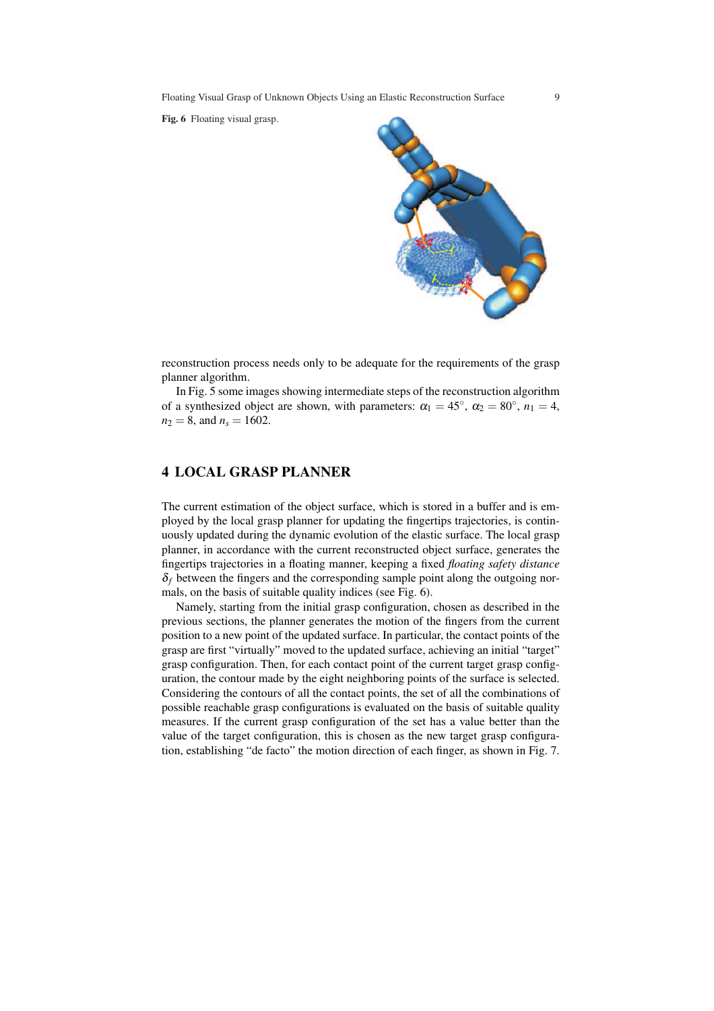Floating Visual Grasp of Unknown Objects Using an Elastic Reconstruction Surface 9

Fig. 6 Floating visual grasp.



reconstruction process needs only to be adequate for the requirements of the grasp planner algorithm.

In Fig. 5 some images showing intermediate steps of the reconstruction algorithm of a synthesized object are shown, with parameters:  $\alpha_1 = 45^\circ$ ,  $\alpha_2 = 80^\circ$ ,  $n_1 = 4$ ,  $n_2 = 8$ , and  $n_s = 1602$ .

### 4 LOCAL GRASP PLANNER

The current estimation of the object surface, which is stored in a buffer and is employed by the local grasp planner for updating the fingertips trajectories, is continuously updated during the dynamic evolution of the elastic surface. The local grasp planner, in accordance with the current reconstructed object surface, generates the fingertips trajectories in a floating manner, keeping a fixed *floating safety distance*  $\delta_f$  between the fingers and the corresponding sample point along the outgoing normals, on the basis of suitable quality indices (see Fig. 6).

Namely, starting from the initial grasp configuration, chosen as described in the previous sections, the planner generates the motion of the fingers from the current position to a new point of the updated surface. In particular, the contact points of the grasp are first "virtually" moved to the updated surface, achieving an initial "target" grasp configuration. Then, for each contact point of the current target grasp configuration, the contour made by the eight neighboring points of the surface is selected. Considering the contours of all the contact points, the set of all the combinations of possible reachable grasp configurations is evaluated on the basis of suitable quality measures. If the current grasp configuration of the set has a value better than the value of the target configuration, this is chosen as the new target grasp configuration, establishing "de facto" the motion direction of each finger, as shown in Fig. 7.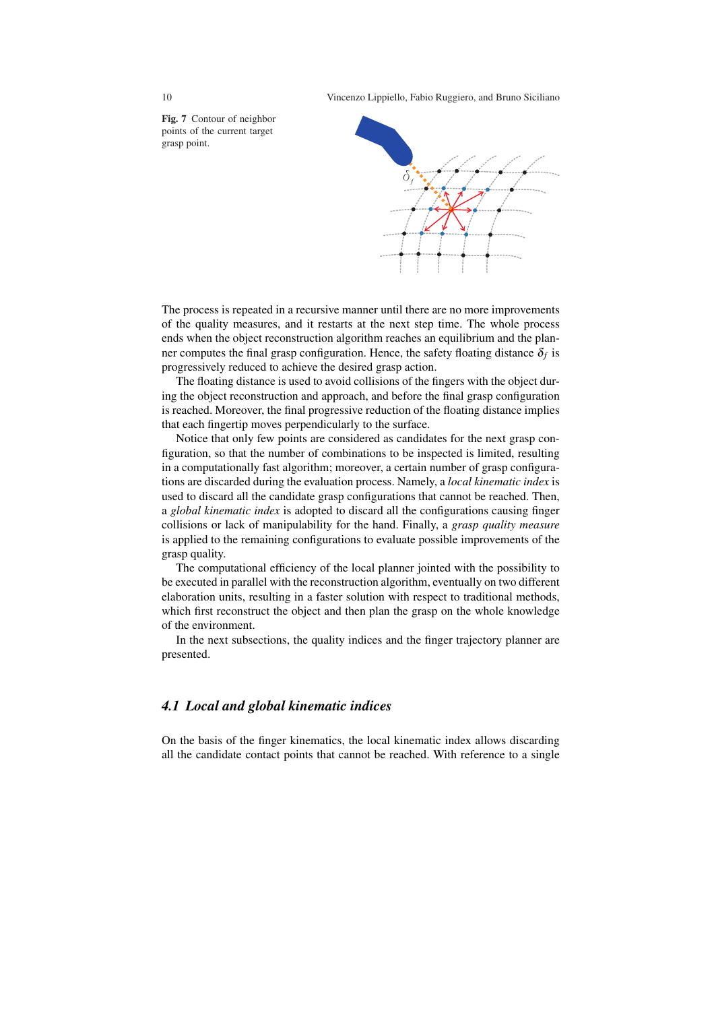Fig. 7 Contour of neighbor points of the current target grasp point.



The process is repeated in a recursive manner until there are no more improvements of the quality measures, and it restarts at the next step time. The whole process ends when the object reconstruction algorithm reaches an equilibrium and the planner computes the final grasp configuration. Hence, the safety floating distance  $\delta_f$  is progressively reduced to achieve the desired grasp action.

The floating distance is used to avoid collisions of the fingers with the object during the object reconstruction and approach, and before the final grasp configuration is reached. Moreover, the final progressive reduction of the floating distance implies that each fingertip moves perpendicularly to the surface.

Notice that only few points are considered as candidates for the next grasp configuration, so that the number of combinations to be inspected is limited, resulting in a computationally fast algorithm; moreover, a certain number of grasp configurations are discarded during the evaluation process. Namely, a *local kinematic index* is used to discard all the candidate grasp configurations that cannot be reached. Then, a *global kinematic index* is adopted to discard all the configurations causing finger collisions or lack of manipulability for the hand. Finally, a *grasp quality measure* is applied to the remaining configurations to evaluate possible improvements of the grasp quality.

The computational efficiency of the local planner jointed with the possibility to be executed in parallel with the reconstruction algorithm, eventually on two different elaboration units, resulting in a faster solution with respect to traditional methods, which first reconstruct the object and then plan the grasp on the whole knowledge of the environment.

In the next subsections, the quality indices and the finger trajectory planner are presented.

## *4.1 Local and global kinematic indices*

On the basis of the finger kinematics, the local kinematic index allows discarding all the candidate contact points that cannot be reached. With reference to a single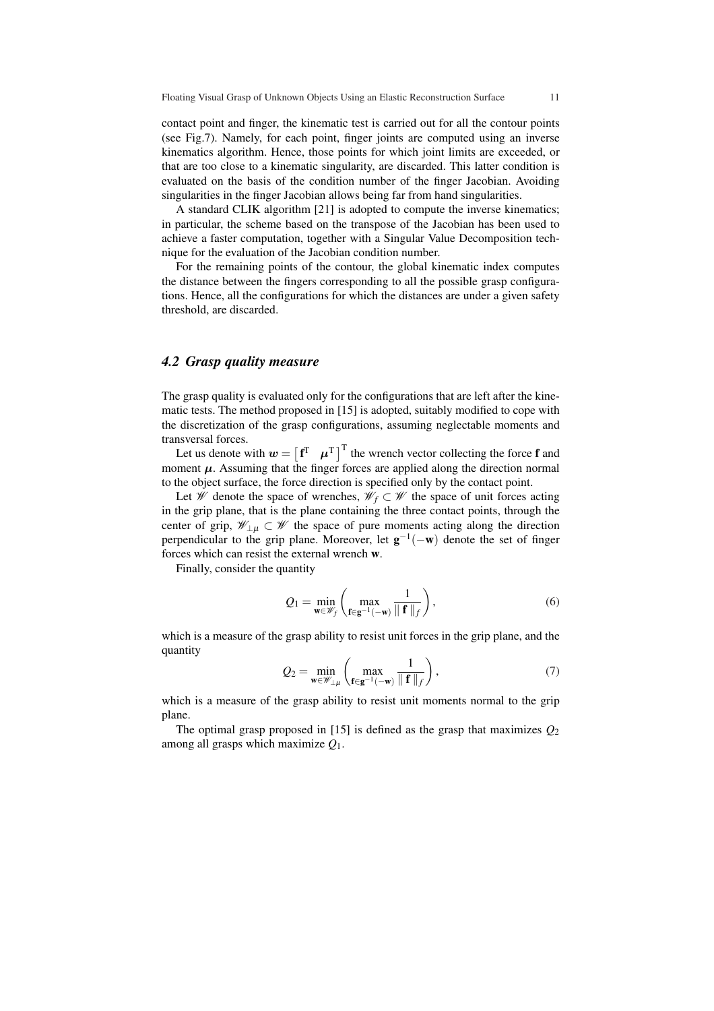contact point and finger, the kinematic test is carried out for all the contour points (see Fig.7). Namely, for each point, finger joints are computed using an inverse kinematics algorithm. Hence, those points for which joint limits are exceeded, or that are too close to a kinematic singularity, are discarded. This latter condition is evaluated on the basis of the condition number of the finger Jacobian. Avoiding singularities in the finger Jacobian allows being far from hand singularities.

A standard CLIK algorithm [21] is adopted to compute the inverse kinematics; in particular, the scheme based on the transpose of the Jacobian has been used to achieve a faster computation, together with a Singular Value Decomposition technique for the evaluation of the Jacobian condition number.

For the remaining points of the contour, the global kinematic index computes the distance between the fingers corresponding to all the possible grasp configurations. Hence, all the configurations for which the distances are under a given safety threshold, are discarded.

#### *4.2 Grasp quality measure*

The grasp quality is evaluated only for the configurations that are left after the kinematic tests. The method proposed in [15] is adopted, suitably modified to cope with the discretization of the grasp configurations, assuming neglectable moments and transversal forces. £

Let us denote with  $w =$  $f^T$   $\mu^T$ ]<sup>T</sup> the wrench vector collecting the force **f** and moment  $\mu$ . Assuming that the finger forces are applied along the direction normal to the object surface, the force direction is specified only by the contact point.

Let *W* denote the space of wrenches,  $\mathcal{W}_f$  ⊂ *W* the space of unit forces acting in the grip plane, that is the plane containing the three contact points, through the center of grip,  $\mathscr{W}_{\perp\mu} \subset \mathscr{W}$  the space of pure moments acting along the direction perpendicular to the grip plane. Moreover, let  $g^{-1}(-w)$  denote the set of finger forces which can resist the external wrench w.

Finally, consider the quantity

$$
Q_1 = \min_{\mathbf{w} \in \mathscr{W}_f} \left( \max_{\mathbf{f} \in \mathbf{g}^{-1}(-\mathbf{w})} \frac{1}{\|\mathbf{f}\|_f} \right),\tag{6}
$$

which is a measure of the grasp ability to resist unit forces in the grip plane, and the quantity  $\overline{a}$  $\mathbf{r}$ 

$$
Q_2 = \min_{\mathbf{w} \in \mathscr{W}_{\perp \mu}} \left( \max_{\mathbf{f} \in \mathbf{g}^{-1}(-\mathbf{w})} \frac{1}{\|\mathbf{f}\|_f} \right),\tag{7}
$$

which is a measure of the grasp ability to resist unit moments normal to the grip plane.

The optimal grasp proposed in [15] is defined as the grasp that maximizes  $Q_2$ among all grasps which maximize *Q*1.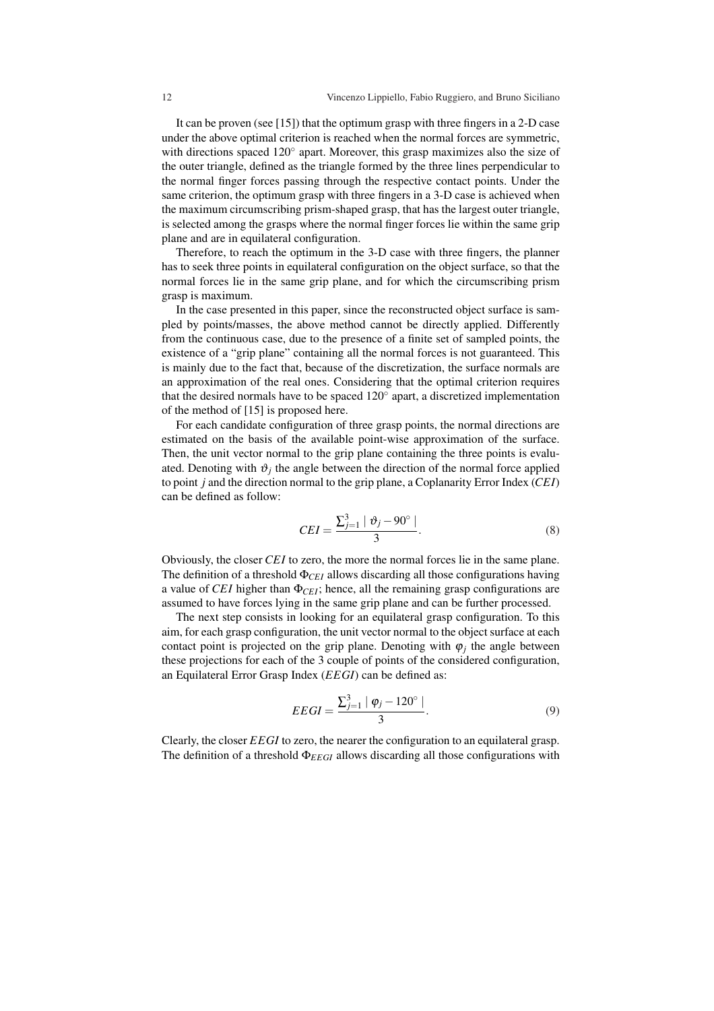It can be proven (see [15]) that the optimum grasp with three fingers in a 2-D case under the above optimal criterion is reached when the normal forces are symmetric, with directions spaced 120° apart. Moreover, this grasp maximizes also the size of the outer triangle, defined as the triangle formed by the three lines perpendicular to the normal finger forces passing through the respective contact points. Under the same criterion, the optimum grasp with three fingers in a 3-D case is achieved when the maximum circumscribing prism-shaped grasp, that has the largest outer triangle, is selected among the grasps where the normal finger forces lie within the same grip plane and are in equilateral configuration.

Therefore, to reach the optimum in the 3-D case with three fingers, the planner has to seek three points in equilateral configuration on the object surface, so that the normal forces lie in the same grip plane, and for which the circumscribing prism grasp is maximum.

In the case presented in this paper, since the reconstructed object surface is sampled by points/masses, the above method cannot be directly applied. Differently from the continuous case, due to the presence of a finite set of sampled points, the existence of a "grip plane" containing all the normal forces is not guaranteed. This is mainly due to the fact that, because of the discretization, the surface normals are an approximation of the real ones. Considering that the optimal criterion requires that the desired normals have to be spaced 120◦ apart, a discretized implementation of the method of [15] is proposed here.

For each candidate configuration of three grasp points, the normal directions are estimated on the basis of the available point-wise approximation of the surface. Then, the unit vector normal to the grip plane containing the three points is evaluated. Denoting with  $\vartheta_j$  the angle between the direction of the normal force applied to point *j* and the direction normal to the grip plane, a Coplanarity Error Index (*CEI*) can be defined as follow:

$$
CEI = \frac{\sum_{j=1}^{3} |\vartheta_j - 90^{\circ}|}{3}.
$$
 (8)

Obviously, the closer *CEI* to zero, the more the normal forces lie in the same plane. The definition of a threshold  $\Phi$ <sub>*CEI*</sub> allows discarding all those configurations having a value of *CEI* higher than  $\Phi$ <sub>*CEI*</sub>; hence, all the remaining grasp configurations are assumed to have forces lying in the same grip plane and can be further processed.

The next step consists in looking for an equilateral grasp configuration. To this aim, for each grasp configuration, the unit vector normal to the object surface at each contact point is projected on the grip plane. Denoting with  $\varphi_j$  the angle between these projections for each of the 3 couple of points of the considered configuration, an Equilateral Error Grasp Index (*EEGI*) can be defined as:

$$
EEGI = \frac{\sum_{j=1}^{3} |\varphi_j - 120^{\circ}|}{3}.
$$
 (9)

Clearly, the closer *EEGI* to zero, the nearer the configuration to an equilateral grasp. The definition of a threshold  $\Phi_{EEGI}$  allows discarding all those configurations with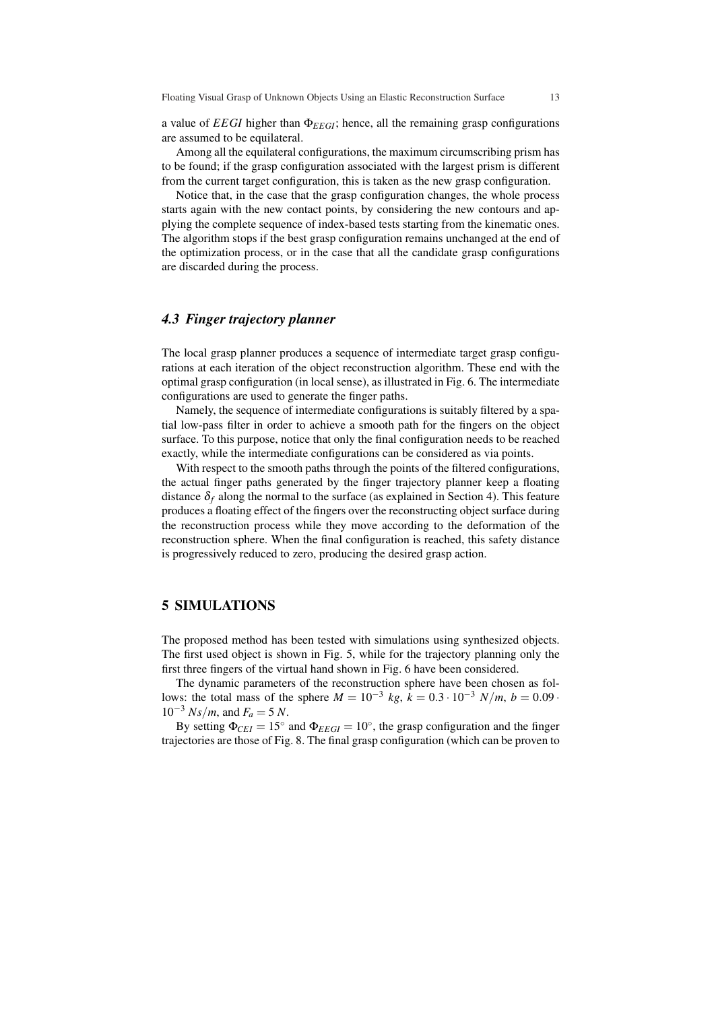a value of *EEGI* higher than Φ*EEGI*; hence, all the remaining grasp configurations are assumed to be equilateral.

Among all the equilateral configurations, the maximum circumscribing prism has to be found; if the grasp configuration associated with the largest prism is different from the current target configuration, this is taken as the new grasp configuration.

Notice that, in the case that the grasp configuration changes, the whole process starts again with the new contact points, by considering the new contours and applying the complete sequence of index-based tests starting from the kinematic ones. The algorithm stops if the best grasp configuration remains unchanged at the end of the optimization process, or in the case that all the candidate grasp configurations are discarded during the process.

#### *4.3 Finger trajectory planner*

The local grasp planner produces a sequence of intermediate target grasp configurations at each iteration of the object reconstruction algorithm. These end with the optimal grasp configuration (in local sense), as illustrated in Fig. 6. The intermediate configurations are used to generate the finger paths.

Namely, the sequence of intermediate configurations is suitably filtered by a spatial low-pass filter in order to achieve a smooth path for the fingers on the object surface. To this purpose, notice that only the final configuration needs to be reached exactly, while the intermediate configurations can be considered as via points.

With respect to the smooth paths through the points of the filtered configurations, the actual finger paths generated by the finger trajectory planner keep a floating distance  $\delta_f$  along the normal to the surface (as explained in Section 4). This feature produces a floating effect of the fingers over the reconstructing object surface during the reconstruction process while they move according to the deformation of the reconstruction sphere. When the final configuration is reached, this safety distance is progressively reduced to zero, producing the desired grasp action.

#### 5 SIMULATIONS

The proposed method has been tested with simulations using synthesized objects. The first used object is shown in Fig. 5, while for the trajectory planning only the first three fingers of the virtual hand shown in Fig. 6 have been considered.

The dynamic parameters of the reconstruction sphere have been chosen as follows: the total mass of the sphere  $M = 10^{-3}$  kg,  $k = 0.3 \cdot 10^{-3}$  *N/m, b* = 0.09 · 10−<sup>3</sup> *Ns*/*m*, and *F<sup>a</sup>* = 5 *N*.

By setting  $\Phi_{CEI} = 15^\circ$  and  $\Phi_{EEGI} = 10^\circ$ , the grasp configuration and the finger trajectories are those of Fig. 8. The final grasp configuration (which can be proven to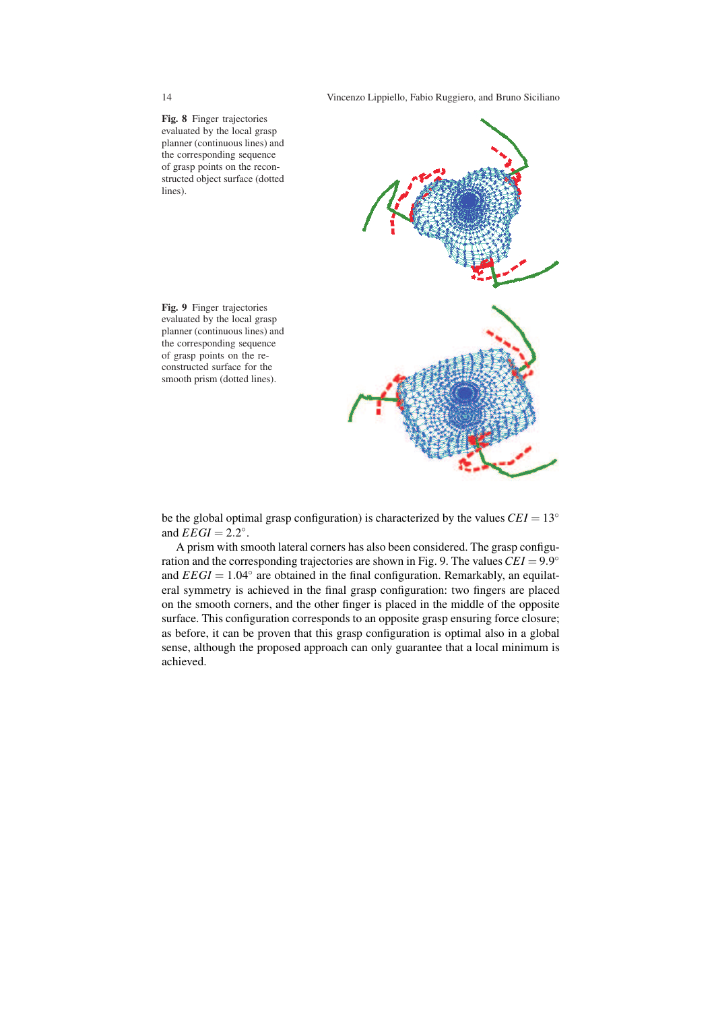

be the global optimal grasp configuration) is characterized by the values  $CEI = 13°$ and  $EEGI = 2.2^\circ$ .

A prism with smooth lateral corners has also been considered. The grasp configuration and the corresponding trajectories are shown in Fig. 9. The values  $CEI = 9.9^{\circ}$ and  $EEGI = 1.04^\circ$  are obtained in the final configuration. Remarkably, an equilateral symmetry is achieved in the final grasp configuration: two fingers are placed on the smooth corners, and the other finger is placed in the middle of the opposite surface. This configuration corresponds to an opposite grasp ensuring force closure; as before, it can be proven that this grasp configuration is optimal also in a global sense, although the proposed approach can only guarantee that a local minimum is achieved.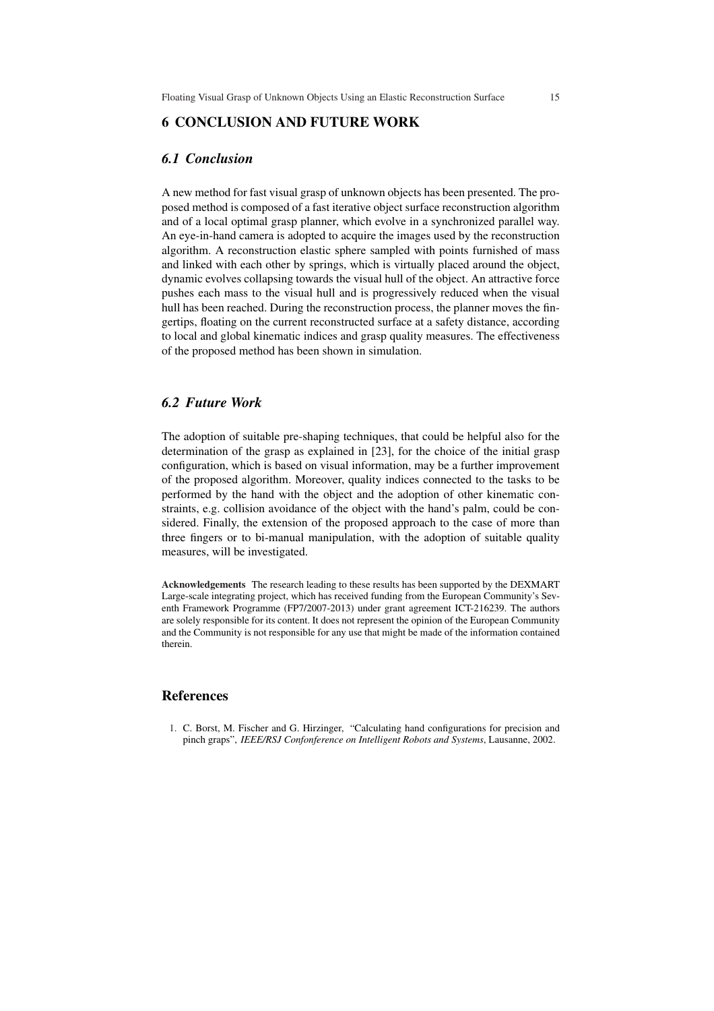#### 6 CONCLUSION AND FUTURE WORK

#### *6.1 Conclusion*

A new method for fast visual grasp of unknown objects has been presented. The proposed method is composed of a fast iterative object surface reconstruction algorithm and of a local optimal grasp planner, which evolve in a synchronized parallel way. An eye-in-hand camera is adopted to acquire the images used by the reconstruction algorithm. A reconstruction elastic sphere sampled with points furnished of mass and linked with each other by springs, which is virtually placed around the object, dynamic evolves collapsing towards the visual hull of the object. An attractive force pushes each mass to the visual hull and is progressively reduced when the visual hull has been reached. During the reconstruction process, the planner moves the fingertips, floating on the current reconstructed surface at a safety distance, according to local and global kinematic indices and grasp quality measures. The effectiveness of the proposed method has been shown in simulation.

#### *6.2 Future Work*

The adoption of suitable pre-shaping techniques, that could be helpful also for the determination of the grasp as explained in [23], for the choice of the initial grasp configuration, which is based on visual information, may be a further improvement of the proposed algorithm. Moreover, quality indices connected to the tasks to be performed by the hand with the object and the adoption of other kinematic constraints, e.g. collision avoidance of the object with the hand's palm, could be considered. Finally, the extension of the proposed approach to the case of more than three fingers or to bi-manual manipulation, with the adoption of suitable quality measures, will be investigated.

Acknowledgements The research leading to these results has been supported by the DEXMART Large-scale integrating project, which has received funding from the European Community's Seventh Framework Programme (FP7/2007-2013) under grant agreement ICT-216239. The authors are solely responsible for its content. It does not represent the opinion of the European Community and the Community is not responsible for any use that might be made of the information contained therein.

## References

1. C. Borst, M. Fischer and G. Hirzinger, "Calculating hand configurations for precision and pinch graps", *IEEE/RSJ Confonference on Intelligent Robots and Systems*, Lausanne, 2002.